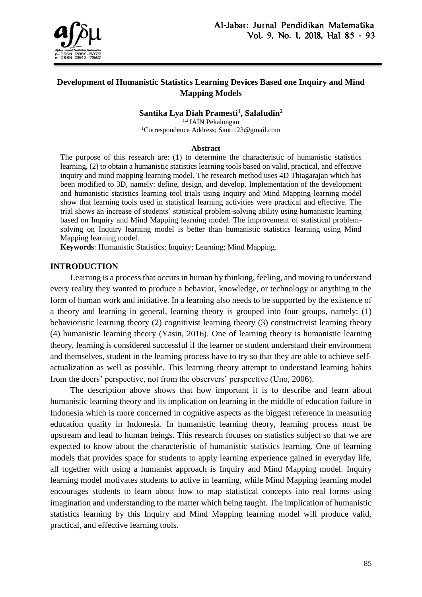

# **Development of Humanistic Statistics Learning Devices Based one Inquiry and Mind Mapping Models**

**Santika Lya Diah Pramesti<sup>1</sup> , Salafudin<sup>2</sup>**

1,2 IAIN Pekalongan

<sup>1</sup>Correspondence Address; Santi123@gmail.com

#### **Abstract**

The purpose of this research are: (1) to determine the characteristic of humanistic statistics learning, (2) to obtain a humanistic statistics learning tools based on valid, practical, and effective inquiry and mind mapping learning model. The research method uses 4D Thiagarajan which has been modified to 3D, namely: define, design, and develop. Implementation of the development and humanistic statistics learning tool trials using Inquiry and Mind Mapping learning model show that learning tools used in statistical learning activities were practical and effective. The trial shows an increase of students' statistical problem-solving ability using humanistic learning based on Inquiry and Mind Mapping learning model. The improvement of statistical problemsolving on Inquiry learning model is better than humanistic statistics learning using Mind Mapping learning model.

**Keywords**: Humanistic Statistics; Inquiry; Learning; Mind Mapping.

## **INTRODUCTION**

Learning is a process that occurs in human by thinking, feeling, and moving to understand every reality they wanted to produce a behavior, knowledge, or technology or anything in the form of human work and initiative. In a learning also needs to be supported by the existence of a theory and learning in general, learning theory is grouped into four groups, namely: (1) behavioristic learning theory (2) cognitivist learning theory (3) constructivist learning theory (4) humanistic learning theory (Yasin, 2016). One of learning theory is humanistic learning theory, learning is considered successful if the learner or student understand their environment and themselves, student in the learning process have to try so that they are able to achieve selfactualization as well as possible. This learning theory attempt to understand learning habits from the doers' perspective, not from the observers' perspective (Uno, 2006).

The description above shows that how important it is to describe and learn about humanistic learning theory and its implication on learning in the middle of education failure in Indonesia which is more concerned in cognitive aspects as the biggest reference in measuring education quality in Indonesia. In humanistic learning theory, learning process must be upstream and lead to human beings. This research focuses on statistics subject so that we are expected to know about the characteristic of humanistic statistics learning. One of learning models that provides space for students to apply learning experience gained in everyday life, all together with using a humanist approach is Inquiry and Mind Mapping model. Inquiry learning model motivates students to active in learning, while Mind Mapping learning model encourages students to learn about how to map statistical concepts into real forms using imagination and understanding to the matter which being taught. The implication of humanistic statistics learning by this Inquiry and Mind Mapping learning model will produce valid, practical, and effective learning tools.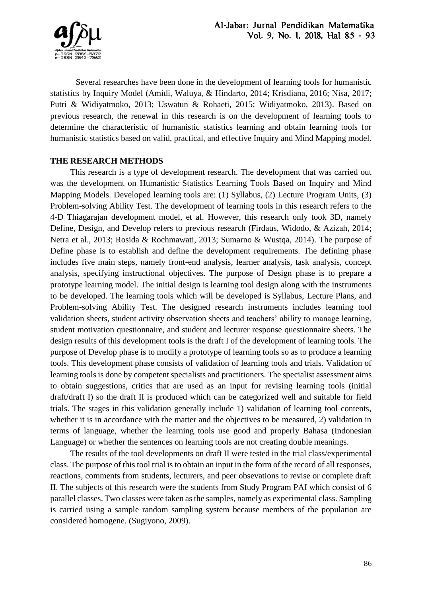

Several researches have been done in the development of learning tools for humanistic statistics by Inquiry Model (Amidi, Waluya, & Hindarto, 2014; Krisdiana, 2016; Nisa, 2017; Putri & Widiyatmoko, 2013; Uswatun & Rohaeti, 2015; Widiyatmoko, 2013). Based on previous research, the renewal in this research is on the development of learning tools to determine the characteristic of humanistic statistics learning and obtain learning tools for humanistic statistics based on valid, practical, and effective Inquiry and Mind Mapping model.

# **THE RESEARCH METHODS**

This research is a type of development research. The development that was carried out was the development on Humanistic Statistics Learning Tools Based on Inquiry and Mind Mapping Models. Developed learning tools are: (1) Syllabus, (2) Lecture Program Units, (3) Problem-solving Ability Test. The development of learning tools in this research refers to the 4-D Thiagarajan development model, et al. However, this research only took 3D, namely Define, Design, and Develop refers to previous research (Firdaus, Widodo, & Azizah, 2014; Netra et al., 2013; Rosida & Rochmawati, 2013; Sumarno & Wustqa, 2014). The purpose of Define phase is to establish and define the development requirements. The defining phase includes five main steps, namely front-end analysis, learner analysis, task analysis, concept analysis, specifying instructional objectives. The purpose of Design phase is to prepare a prototype learning model. The initial design is learning tool design along with the instruments to be developed. The learning tools which will be developed is Syllabus, Lecture Plans, and Problem-solving Ability Test. The designed research instruments includes learning tool validation sheets, student activity observation sheets and teachers' ability to manage learning, student motivation questionnaire, and student and lecturer response questionnaire sheets. The design results of this development tools is the draft I of the development of learning tools. The purpose of Develop phase is to modify a prototype of learning tools so as to produce a learning tools. This development phase consists of validation of learning tools and trials. Validation of learning tools is done by competent specialists and practitioners. The specialist assessment aims to obtain suggestions, critics that are used as an input for revising learning tools (initial draft/draft I) so the draft II is produced which can be categorized well and suitable for field trials. The stages in this validation generally include 1) validation of learning tool contents, whether it is in accordance with the matter and the objectives to be measured, 2) validation in terms of language, whether the learning tools use good and properly Bahasa (Indonesian Language) or whether the sentences on learning tools are not creating double meanings.

The results of the tool developments on draft II were tested in the trial class/experimental class. The purpose of this tool trial is to obtain an input in the form of the record of all responses, reactions, comments from students, lecturers, and peer obsevations to revise or complete draft II. The subjects of this research were the students from Study Program PAI which consist of 6 parallel classes. Two classes were taken as the samples, namely as experimental class. Sampling is carried using a sample random sampling system because members of the population are considered homogene. (Sugiyono, 2009).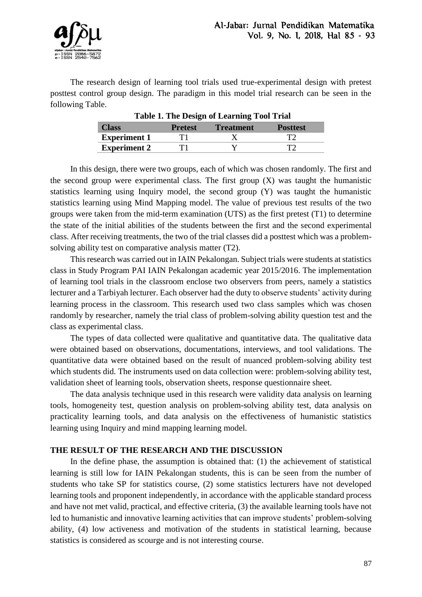

The research design of learning tool trials used true-experimental design with pretest posttest control group design. The paradigm in this model trial research can be seen in the following Table.

| Class               | <b>Prefest</b> | <b>Treatment</b> | <b>Posttest</b> |
|---------------------|----------------|------------------|-----------------|
| <b>Experiment 1</b> |                |                  |                 |
| <b>Experiment 2</b> |                |                  |                 |

**Table 1. The Design of Learning Tool Trial**

In this design, there were two groups, each of which was chosen randomly. The first and the second group were experimental class. The first group  $(X)$  was taught the humanistic statistics learning using Inquiry model, the second group (Y) was taught the humanistic statistics learning using Mind Mapping model. The value of previous test results of the two groups were taken from the mid-term examination (UTS) as the first pretest (T1) to determine the state of the initial abilities of the students between the first and the second experimental class. After receiving treatments, the two of the trial classes did a posttest which was a problemsolving ability test on comparative analysis matter (T2).

This research was carried out in IAIN Pekalongan. Subject trials were students at statistics class in Study Program PAI IAIN Pekalongan academic year 2015/2016. The implementation of learning tool trials in the classroom enclose two observers from peers, namely a statistics lecturer and a Tarbiyah lecturer. Each observer had the duty to observe students' activity during learning process in the classroom. This research used two class samples which was chosen randomly by researcher, namely the trial class of problem-solving ability question test and the class as experimental class.

The types of data collected were qualitative and quantitative data. The qualitative data were obtained based on observations, documentations, interviews, and tool validations. The quantitative data were obtained based on the result of nuanced problem-solving ability test which students did. The instruments used on data collection were: problem-solving ability test, validation sheet of learning tools, observation sheets, response questionnaire sheet.

The data analysis technique used in this research were validity data analysis on learning tools, homogeneity test, question analysis on problem-solving ability test, data analysis on practicality learning tools, and data analysis on the effectiveness of humanistic statistics learning using Inquiry and mind mapping learning model.

## **THE RESULT OF THE RESEARCH AND THE DISCUSSION**

In the define phase, the assumption is obtained that: (1) the achievement of statistical learning is still low for IAIN Pekalongan students, this is can be seen from the number of students who take SP for statistics course, (2) some statistics lecturers have not developed learning tools and proponent independently, in accordance with the applicable standard process and have not met valid, practical, and effective criteria, (3) the available learning tools have not led to humanistic and innovative learning activities that can improve students' problem-solving ability, (4) low activeness and motivation of the students in statistical learning, because statistics is considered as scourge and is not interesting course.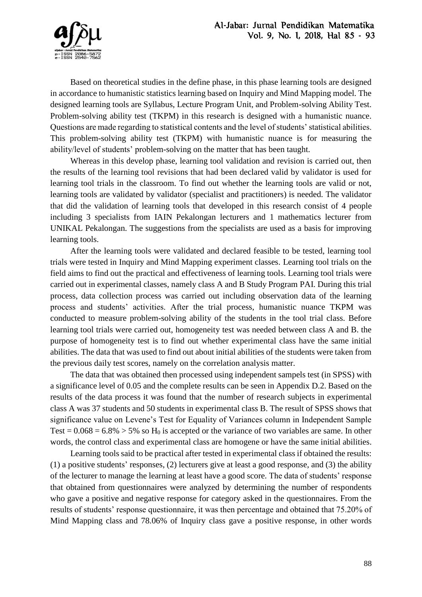

Based on theoretical studies in the define phase, in this phase learning tools are designed in accordance to humanistic statistics learning based on Inquiry and Mind Mapping model. The designed learning tools are Syllabus, Lecture Program Unit, and Problem-solving Ability Test. Problem-solving ability test (TKPM) in this research is designed with a humanistic nuance. Questions are made regarding to statistical contents and the level of students' statistical abilities. This problem-solving ability test (TKPM) with humanistic nuance is for measuring the ability/level of students' problem-solving on the matter that has been taught.

Whereas in this develop phase, learning tool validation and revision is carried out, then the results of the learning tool revisions that had been declared valid by validator is used for learning tool trials in the classroom. To find out whether the learning tools are valid or not, learning tools are validated by validator (specialist and practitioners) is needed. The validator that did the validation of learning tools that developed in this research consist of 4 people including 3 specialists from IAIN Pekalongan lecturers and 1 mathematics lecturer from UNIKAL Pekalongan. The suggestions from the specialists are used as a basis for improving learning tools.

After the learning tools were validated and declared feasible to be tested, learning tool trials were tested in Inquiry and Mind Mapping experiment classes. Learning tool trials on the field aims to find out the practical and effectiveness of learning tools. Learning tool trials were carried out in experimental classes, namely class A and B Study Program PAI. During this trial process, data collection process was carried out including observation data of the learning process and students' activities. After the trial process, humanistic nuance TKPM was conducted to measure problem-solving ability of the students in the tool trial class. Before learning tool trials were carried out, homogeneity test was needed between class A and B. the purpose of homogeneity test is to find out whether experimental class have the same initial abilities. The data that was used to find out about initial abilities of the students were taken from the previous daily test scores, namely on the correlation analysis matter.

The data that was obtained then processed using independent sampels test (in SPSS) with a significance level of 0.05 and the complete results can be seen in Appendix D.2. Based on the results of the data process it was found that the number of research subjects in experimental class A was 37 students and 50 students in experimental class B. The result of SPSS shows that significance value on Levene's Test for Equality of Variances column in Independent Sample Test =  $0.068 = 6.8\%$  > 5% so H<sub>0</sub> is accepted or the variance of two variables are same. In other words, the control class and experimental class are homogene or have the same initial abilities.

Learning tools said to be practical after tested in experimental class if obtained the results: (1) a positive students' responses, (2) lecturers give at least a good response, and (3) the ability of the lecturer to manage the learning at least have a good score. The data of students' response that obtained from questionnaires were analyzed by determining the number of respondents who gave a positive and negative response for category asked in the questionnaires. From the results of students' response questionnaire, it was then percentage and obtained that 75.20% of Mind Mapping class and 78.06% of Inquiry class gave a positive response, in other words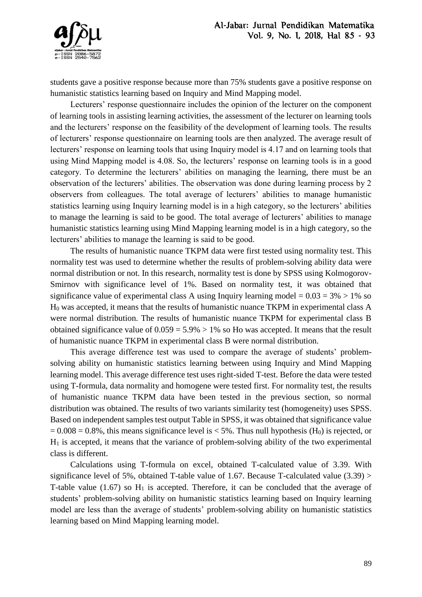

students gave a positive response because more than 75% students gave a positive response on humanistic statistics learning based on Inquiry and Mind Mapping model.

Lecturers' response questionnaire includes the opinion of the lecturer on the component of learning tools in assisting learning activities, the assessment of the lecturer on learning tools and the lecturers' response on the feasibility of the development of learning tools. The results of lecturers' response questionnaire on learning tools are then analyzed. The average result of lecturers' response on learning tools that using Inquiry model is 4.17 and on learning tools that using Mind Mapping model is 4.08. So, the lecturers' response on learning tools is in a good category. To determine the lecturers' abilities on managing the learning, there must be an observation of the lecturers' abilities. The observation was done during learning process by 2 observers from colleagues. The total average of lecturers' abilities to manage humanistic statistics learning using Inquiry learning model is in a high category, so the lecturers' abilities to manage the learning is said to be good. The total average of lecturers' abilities to manage humanistic statistics learning using Mind Mapping learning model is in a high category, so the lecturers' abilities to manage the learning is said to be good.

The results of humanistic nuance TKPM data were first tested using normality test. This normality test was used to determine whether the results of problem-solving ability data were normal distribution or not. In this research, normality test is done by SPSS using Kolmogorov-Smirnov with significance level of 1%. Based on normality test, it was obtained that significance value of experimental class A using Inquiry learning model =  $0.03 = 3\% > 1\%$  so H<sup>0</sup> was accepted, it means that the results of humanistic nuance TKPM in experimental class A were normal distribution. The results of humanistic nuance TKPM for experimental class B obtained significance value of  $0.059 = 5.9\% > 1\%$  so Ho was accepted. It means that the result of humanistic nuance TKPM in experimental class B were normal distribution.

This average difference test was used to compare the average of students' problemsolving ability on humanistic statistics learning between using Inquiry and Mind Mapping learning model. This average difference test uses right-sided T-test. Before the data were tested using T-formula, data normality and homogene were tested first. For normality test, the results of humanistic nuance TKPM data have been tested in the previous section, so normal distribution was obtained. The results of two variants similarity test (homogeneity) uses SPSS. Based on independent samples test output Table in SPSS, it was obtained that significance value  $= 0.008 = 0.8\%$ , this means significance level is < 5%. Thus null hypothesis (H<sub>0</sub>) is rejected, or  $H<sub>1</sub>$  is accepted, it means that the variance of problem-solving ability of the two experimental class is different.

Calculations using T-formula on excel, obtained T-calculated value of 3.39. With significance level of 5%, obtained T-table value of 1.67. Because T-calculated value (3.39) > T-table value (1.67) so  $H_1$  is accepted. Therefore, it can be concluded that the average of students' problem-solving ability on humanistic statistics learning based on Inquiry learning model are less than the average of students' problem-solving ability on humanistic statistics learning based on Mind Mapping learning model.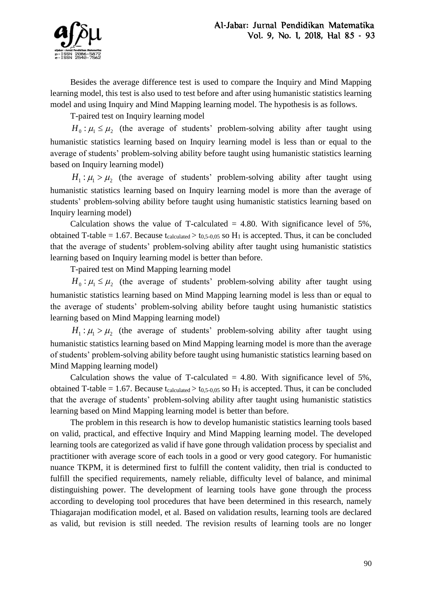

Besides the average difference test is used to compare the Inquiry and Mind Mapping learning model, this test is also used to test before and after using humanistic statistics learning model and using Inquiry and Mind Mapping learning model. The hypothesis is as follows.

T-paired test on Inquiry learning model

 $H_0: \mu_1 \leq \mu_2$  (the average of students' problem-solving ability after taught using humanistic statistics learning based on Inquiry learning model is less than or equal to the average of students' problem-solving ability before taught using humanistic statistics learning based on Inquiry learning model)

 $H_1: \mu_1 > \mu_2$  (the average of students' problem-solving ability after taught using humanistic statistics learning based on Inquiry learning model is more than the average of students' problem-solving ability before taught using humanistic statistics learning based on Inquiry learning model)

Calculation shows the value of T-calculated  $= 4.80$ . With significance level of 5%, obtained T-table = 1.67. Because t<sub>calculated</sub> > t<sub>0,5-0,05</sub> so H<sub>1</sub> is accepted. Thus, it can be concluded that the average of students' problem-solving ability after taught using humanistic statistics learning based on Inquiry learning model is better than before.

T-paired test on Mind Mapping learning model

 $H_0: \mu_1 \leq \mu_2$  (the average of students' problem-solving ability after taught using humanistic statistics learning based on Mind Mapping learning model is less than or equal to the average of students' problem-solving ability before taught using humanistic statistics learning based on Mind Mapping learning model)

 $H_1$ :  $\mu_1 > \mu_2$  (the average of students' problem-solving ability after taught using humanistic statistics learning based on Mind Mapping learning model is more than the average of students' problem-solving ability before taught using humanistic statistics learning based on Mind Mapping learning model)

Calculation shows the value of T-calculated  $= 4.80$ . With significance level of 5%, obtained T-table = 1.67. Because tcalculated > t0,5-0,05 so H<sub>1</sub> is accepted. Thus, it can be concluded that the average of students' problem-solving ability after taught using humanistic statistics learning based on Mind Mapping learning model is better than before.

The problem in this research is how to develop humanistic statistics learning tools based on valid, practical, and effective Inquiry and Mind Mapping learning model. The developed learning tools are categorized as valid if have gone through validation process by specialist and practitioner with average score of each tools in a good or very good category. For humanistic nuance TKPM, it is determined first to fulfill the content validity, then trial is conducted to fulfill the specified requirements, namely reliable, difficulty level of balance, and minimal distinguishing power. The development of learning tools have gone through the process according to developing tool procedures that have been determined in this research, namely Thiagarajan modification model, et al. Based on validation results, learning tools are declared as valid, but revision is still needed. The revision results of learning tools are no longer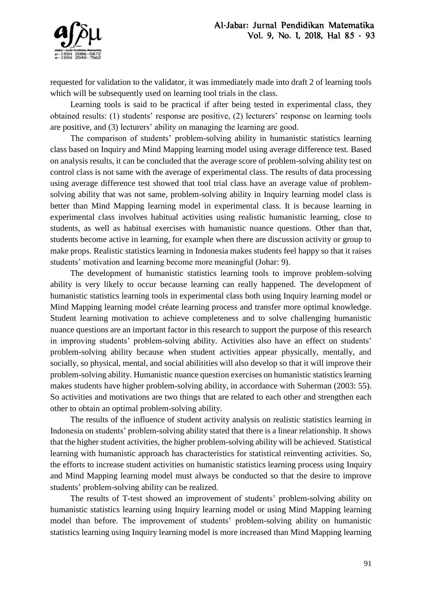

requested for validation to the validator, it was immediately made into draft 2 of learning tools which will be subsequently used on learning tool trials in the class.

Learning tools is said to be practical if after being tested in experimental class, they obtained results: (1) students' response are positive, (2) lecturers' response on learning tools are positive, and (3) lecturers' ability on managing the learning are good.

The comparison of students' problem-solving ability in humanistic statistics learning class based on Inquiry and Mind Mapping learning model using average difference test. Based on analysis results, it can be concluded that the average score of problem-solving ability test on control class is not same with the average of experimental class. The results of data processing using average difference test showed that tool trial class have an average value of problemsolving ability that was not same, problem-solving ability in Inquiry learning model class is better than Mind Mapping learning model in experimental class. It is because learning in experimental class involves habitual activities using realistic humanistic learning, close to students, as well as habitual exercises with humanistic nuance questions. Other than that, students become active in learning, for example when there are discussion activity or group to make props. Realistic statistics learning in Indonesia makes students feel happy so that it raises students' motivation and learning become more meaningful (Johar: 9).

The development of humanistic statistics learning tools to improve problem-solving ability is very likely to occur because learning can really happened. The development of humanistic statistics learning tools in experimental class both using Inquiry learning model or Mind Mapping learning model créate learning process and transfer more optimal knowledge. Student learning motivation to achieve completeness and to solve challenging humanistic nuance questions are an important factor in this research to support the purpose of this research in improving students' problem-solving ability. Activities also have an effect on students' problem-solving ability because when student activities appear physically, mentally, and socially, so physical, mental, and social abilitities will also develop so that it will improve their problem-solving ability. Humanistic nuance question exercises on humanistic statistics learning makes students have higher problem-solving ability, in accordance with Suherman (2003: 55). So activities and motivations are two things that are related to each other and strengthen each other to obtain an optimal problem-solving ability.

The results of the influence of student activity analysis on realistic statistics learning in Indonesia on students' problem-solving ability stated that there is a linear relationship. It shows that the higher student activities, the higher problem-solving ability will be achieved. Statistical learning with humanistic approach has characteristics for statistical reinventing activities. So, the efforts to increase student activities on humanistic statistics learning process using Inquiry and Mind Mapping learning model must always be conducted so that the desire to improve students' problem-solving ability can be realized.

The results of T-test showed an improvement of students' problem-solving ability on humanistic statistics learning using Inquiry learning model or using Mind Mapping learning model than before. The improvement of students' problem-solving ability on humanistic statistics learning using Inquiry learning model is more increased than Mind Mapping learning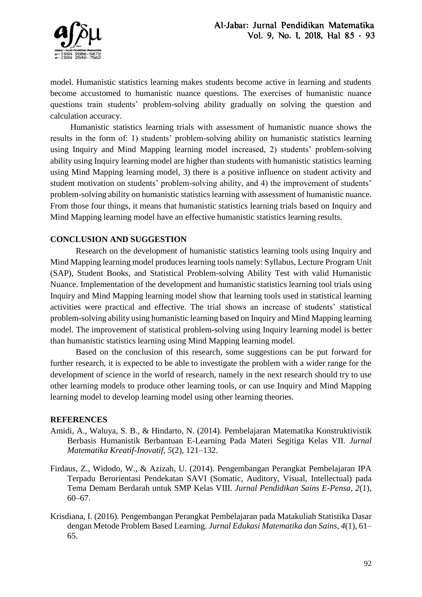

model. Humanistic statistics learning makes students become active in learning and students become accustomed to humanistic nuance questions. The exercises of humanistic nuance questions train students' problem-solving ability gradually on solving the question and calculation accuracy.

Humanistic statistics learning trials with assessment of humanistic nuance shows the results in the form of: 1) students' problem-solving ability on humanistic statistics learning using Inquiry and Mind Mapping learning model increased, 2) students' problem-solving ability using Inquiry learning model are higher than students with humanistic statistics learning using Mind Mapping learning model, 3) there is a positive influence on student activity and student motivation on students' problem-solving ability, and 4) the improvement of students' problem-solving ability on humanistic statistics learning with assessment of humanistic nuance. From those four things, it means that humanistic statistics learning trials based on Inquiry and Mind Mapping learning model have an effective humanistic statistics learning results.

# **CONCLUSION AND SUGGESTION**

Research on the development of humanistic statistics learning tools using Inquiry and Mind Mapping learning model produces learning tools namely: Syllabus, Lecture Program Unit (SAP), Student Books, and Statistical Problem-solving Ability Test with valid Humanistic Nuance. Implementation of the development and humanistic statistics learning tool trials using Inquiry and Mind Mapping learning model show that learning tools used in statistical learning activities were practical and effective. The trial shows an increase of students' statistical problem-solving ability using humanistic learning based on Inquiry and Mind Mapping learning model. The improvement of statistical problem-solving using Inquiry learning model is better than humanistic statistics learning using Mind Mapping learning model.

Based on the conclusion of this research, some suggestions can be put forward for further research, it is expected to be able to investigate the problem with a wider range for the development of science in the world of research, namely in the next research should try to use other learning models to produce other learning tools, or can use Inquiry and Mind Mapping learning model to develop learning model using other learning theories.

## **REFERENCES**

- Amidi, A., Waluya, S. B., & Hindarto, N. (2014). Pembelajaran Matematika Konstruktivistik Berbasis Humanistik Berbantuan E-Learning Pada Materi Segitiga Kelas VII. *Jurnal Matematika Kreatif-Inovatif*, *5*(2), 121–132.
- Firdaus, Z., Widodo, W., & Azizah, U. (2014). Pengembangan Perangkat Pembelajaran IPA Terpadu Berorientasi Pendekatan SAVI (Somatic, Auditory, Visual, Intellectual) pada Tema Demam Berdarah untuk SMP Kelas VIII. *Jurnal Pendidikan Sains E-Pensa*, *2*(1), 60–67.
- Krisdiana, I. (2016). Pengembangan Perangkat Pembelajaran pada Matakuliah Statistika Dasar dengan Metode Problem Based Learning. *Jurnal Edukasi Matematika dan Sains*, *4*(1), 61– 65.